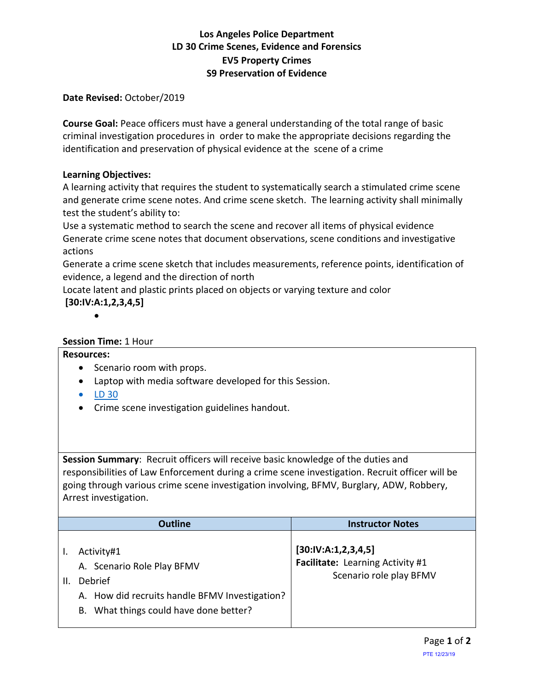# **Los Angeles Police Department LD 30 Crime Scenes, Evidence and Forensics EV5 Property Crimes S9 Preservation of Evidence**

## **Date Revised:** October/2019

**Course Goal:** Peace officers must have a general understanding of the total range of basic criminal investigation procedures in order to make the appropriate decisions regarding the identification and preservation of physical evidence at the scene of a crime

## **Learning Objectives:**

A learning activity that requires the student to systematically search a stimulated crime scene and generate crime scene notes. And crime scene sketch. The learning activity shall minimally test the student's ability to:

Use a systematic method to search the scene and recover all items of physical evidence Generate crime scene notes that document observations, scene conditions and investigative actions

Generate a crime scene sketch that includes measurements, reference points, identification of evidence, a legend and the direction of north

Locate latent and plastic prints placed on objects or varying texture and color **[30:IV:A:1,2,3,4,5]**

•

## **Session Time:** 1 Hour

### **Resources:**

- Scenario room with props.
- Laptop with media software developed for this Session.
- [LD 30](LD_30_V-4.1.pdf)
- Crime scene investigation guidelines handout.

**Session Summary**: Recruit officers will receive basic knowledge of the duties and responsibilities of Law Enforcement during a crime scene investigation. Recruit officer will be going through various crime scene investigation involving, BFMV, Burglary, ADW, Robbery, Arrest investigation.

|    | <b>Outline</b>                                                                                                                                  | <b>Instructor Notes</b>                                                            |
|----|-------------------------------------------------------------------------------------------------------------------------------------------------|------------------------------------------------------------------------------------|
| Ш. | Activity#1<br>A. Scenario Role Play BFMV<br>Debrief<br>A. How did recruits handle BFMV Investigation?<br>B. What things could have done better? | [30:IV:A:1,2,3,4,5]<br>Facilitate: Learning Activity #1<br>Scenario role play BFMV |